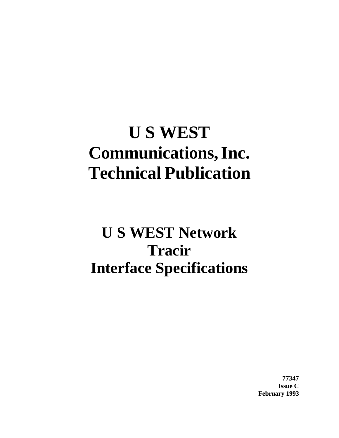# **U S WEST Communications,Inc. Technical Publication**

# **U S WEST Network Tracir Interface Specifications**

**77347 Issue C February 1993**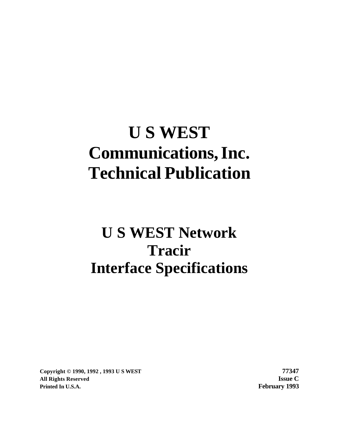# **U S WEST Communications,Inc. Technical Publication**

# **U S WEST Network Tracir Interface Specifications**

**Copyright © 1990, 1992 , 1993 U S WEST 77347 All Rights Reserved Issue C Printed In U.S.A. February 1993**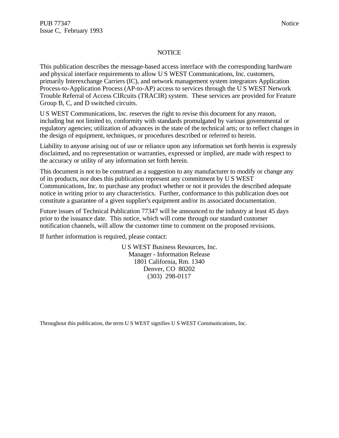#### **NOTICE**

This publication describes the message-based access interface with the corresponding hardware and physical interface requirements to allow U S WEST Communications, Inc. customers, primarily Interexchange Carriers (IC), and network management system integrators Application Process-to-Application Process (AP-to-AP) access to services through the U S WEST Network Trouble Referral of Access CIRcuits (TRACIR) system. These services are provided for Feature Group B, C, and D switched circuits.

U S WEST Communications, Inc. reserves the right to revise this document for any reason, including but not limited to, conformity with standards promulgated by various governmental or regulatory agencies; utilization of advances in the state of the technical arts; or to reflect changes in the design of equipment, techniques, or procedures described or referred to herein.

Liability to anyone arising out of use or reliance upon any information set forth herein is expressly disclaimed, and no representation or warranties, expressed or implied, are made with respect to the accuracy or utility of any information set forth herein.

This document is not to be construed as a suggestion to any manufacturer to modify or change any of its products, nor does this publication represent any commitment by U S WEST Communications, Inc. to purchase any product whether or not it provides the described adequate notice in writing prior to any characteristics. Further, conformance to this publication does not constitute a guarantee of a given supplier's equipment and/or its associated documentation.

Future issues of Technical Publication 77347 will be announced to the industry at least 45 days prior to the issuance date. This notice, which will come through our standard customer notification channels, will allow the customer time to comment on the proposed revisions.

If further information is required, please contact:

U S WEST Business Resources, Inc. Manager - Information Release 1801 California, Rm. 1340 Denver, CO 80202 (303) 298-0117

Throughout this publication, the term U S WEST signifies U S WEST Communications, Inc.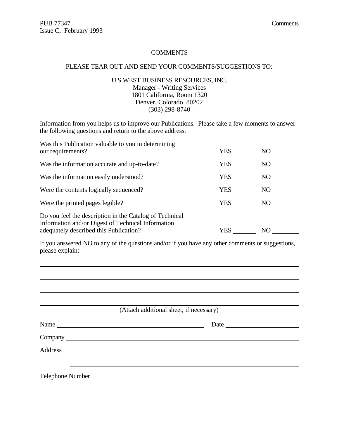l

#### **COMMENTS**

#### PLEASE TEAR OUT AND SEND YOUR COMMENTS/SUGGESTIONS TO:

U S WEST BUSINESS RESOURCES, INC. Manager - Writing Services 1801 California, Room 1320 Denver, Colorado 80202 (303) 298-8740

Information from you helps us to improve our Publications. Please take a few moments to answer the following questions and return to the above address.

| Was this Publication valuable to you in determining<br>our requirements?                                                                                | YES | NO. |
|---------------------------------------------------------------------------------------------------------------------------------------------------------|-----|-----|
| Was the information accurate and up-to-date?                                                                                                            | YES | NO. |
| Was the information easily understood?                                                                                                                  | YES | NO  |
| Were the contents logically sequenced?                                                                                                                  | YES | NO. |
| Were the printed pages legible?                                                                                                                         | YES | NO. |
| Do you feel the description in the Catalog of Technical<br>Information and/or Digest of Technical Information<br>adequately described this Publication? | YES | NO  |

If you answered NO to any of the questions and/or if you have any other comments or suggestions, please explain:

|                                                              | (Attach additional sheet, if necessary) |
|--------------------------------------------------------------|-----------------------------------------|
|                                                              | Date                                    |
|                                                              |                                         |
| Address<br><u> 1989 - Andrea State Barbara, amerikan per</u> |                                         |
|                                                              |                                         |
|                                                              |                                         |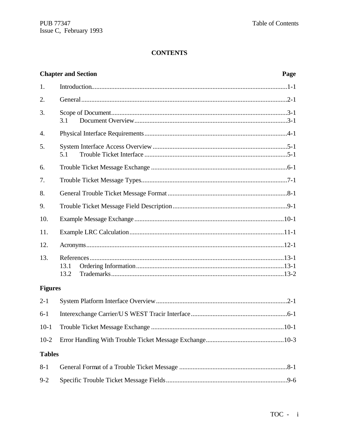### **CONTENTS**

|                | <b>Chapter and Section</b> | Page |
|----------------|----------------------------|------|
| 1.             |                            |      |
| 2.             |                            |      |
| 3.             | 3.1                        |      |
| 4.             |                            |      |
| 5.             | 5.1                        |      |
| 6.             |                            |      |
| 7.             |                            |      |
| 8.             |                            |      |
| 9.             |                            |      |
| 10.            |                            |      |
| 11.            |                            |      |
| 12.            |                            |      |
| 13.            | 13.1<br>13.2               |      |
| <b>Figures</b> |                            |      |
| $2 - 1$        |                            |      |
| $6 - 1$        |                            |      |
| $10-1$         |                            |      |
| $10-2$         |                            |      |
| <b>Tables</b>  |                            |      |
| $8 - 1$        |                            |      |
| $9 - 2$        |                            |      |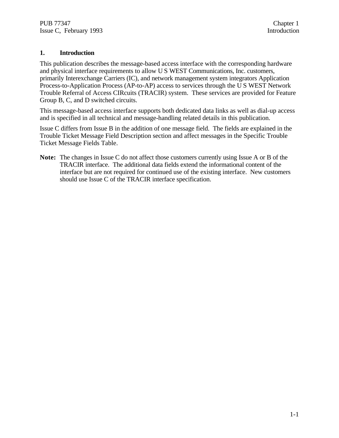#### **1. Introduction**

This publication describes the message-based access interface with the corresponding hardware and physical interface requirements to allow U S WEST Communications, Inc. customers, primarily Interexchange Carriers (IC), and network management system integrators Application Process-to-Application Process (AP-to-AP) access to services through the U S WEST Network Trouble Referral of Access CIRcuits (TRACIR) system. These services are provided for Feature Group B, C, and D switched circuits.

This message-based access interface supports both dedicated data links as well as dial-up access and is specified in all technical and message-handling related details in this publication.

Issue C differs from Issue B in the addition of one message field. The fields are explained in the Trouble Ticket Message Field Description section and affect messages in the Specific Trouble Ticket Message Fields Table.

**Note:** The changes in Issue C do not affect those customers currently using Issue A or B of the TRACIR interface. The additional data fields extend the informational content of the interface but are not required for continued use of the existing interface. New customers should use Issue C of the TRACIR interface specification.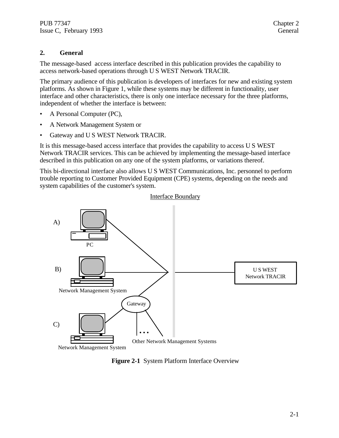#### **2. General**

The message-based access interface described in this publication provides the capability to access network-based operations through U S WEST Network TRACIR.

The primary audience of this publication is developers of interfaces for new and existing system platforms. As shown in Figure 1, while these systems may be different in functionality, user interface and other characteristics, there is only one interface necessary for the three platforms, independent of whether the interface is between:

- A Personal Computer (PC),
- A Network Management System or
- Gateway and U S WEST Network TRACIR.

It is this message-based access interface that provides the capability to access U S WEST Network TRACIR services. This can be achieved by implementing the message-based interface described in this publication on any one of the system platforms, or variations thereof.

This bi-directional interface also allows U S WEST Communications, Inc. personnel to perform trouble reporting to Customer Provided Equipment (CPE) systems, depending on the needs and system capabilities of the customer's system.



**Figure 2-1** System Platform Interface Overview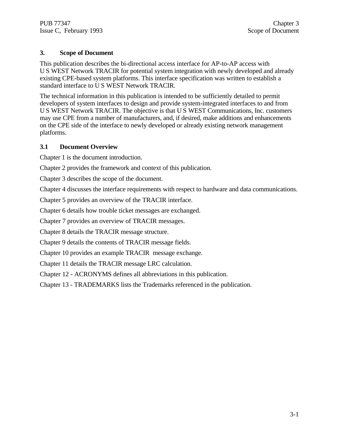#### **3. Scope of Document**

This publication describes the bi-directional access interface for AP-to-AP access with U S WEST Network TRACIR for potential system integration with newly developed and already existing CPE-based system platforms. This interface specification was written to establish a standard interface to U S WEST Network TRACIR.

The technical information in this publication is intended to be sufficiently detailed to permit developers of system interfaces to design and provide system-integrated interfaces to and from U S WEST Network TRACIR. The objective is that U S WEST Communications, Inc. customers may use CPE from a number of manufacturers, and, if desired, make additions and enhancements on the CPE side of the interface to newly developed or already existing network management platforms.

#### **3.1 Document Overview**

Chapter 1 is the document introduction.

Chapter 2 provides the framework and context of this publication.

Chapter 3 describes the scope of the document.

Chapter 4 discusses the interface requirements with respect to hardware and data communications.

Chapter 5 provides an overview of the TRACIR interface.

Chapter 6 details how trouble ticket messages are exchanged.

Chapter 7 provides an overview of TRACIR messages.

Chapter 8 details the TRACIR message structure.

Chapter 9 details the contents of TRACIR message fields.

Chapter 10 provides an example TRACIR message exchange.

Chapter 11 details the TRACIR message LRC calculation.

Chapter 12 - ACRONYMS defines all abbreviations in this publication.

Chapter 13 - TRADEMARKS lists the Trademarks referenced in the publication.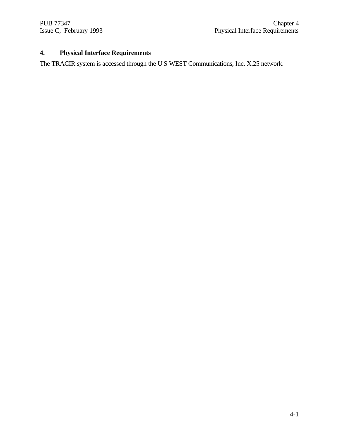## **4. Physical Interface Requirements**

The TRACIR system is accessed through the U S WEST Communications, Inc. X.25 network.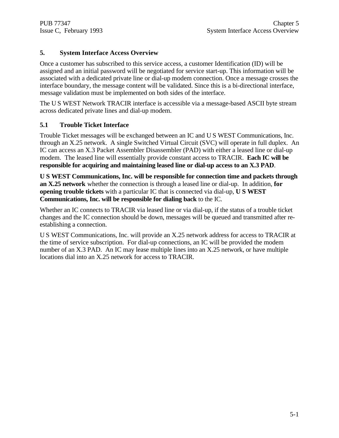#### **5. System Interface Access Overview**

Once a customer has subscribed to this service access, a customer Identification (ID) will be assigned and an initial password will be negotiated for service start-up. This information will be associated with a dedicated private line or dial-up modem connection. Once a message crosses the interface boundary, the message content will be validated. Since this is a bi-directional interface, message validation must be implemented on both sides of the interface.

The U S WEST Network TRACIR interface is accessible via a message-based ASCII byte stream across dedicated private lines and dial-up modem.

#### **5.1 Trouble Ticket Interface**

Trouble Ticket messages will be exchanged between an IC and U S WEST Communications, Inc. through an X.25 network. A single Switched Virtual Circuit (SVC) will operate in full duplex. An IC can access an X.3 Packet Assembler Disassembler (PAD) with either a leased line or dial-up modem. The leased line will essentially provide constant access to TRACIR. **Each IC will be responsible for acquiring and maintaining leased line or dial-up access to an X.3 PAD**.

**U S WEST Communications, Inc. will be responsible for connection time and packets through an X.25 network** whether the connection is through a leased line or dial-up. In addition, **for opening trouble tickets** with a particular IC that is connected via dial-up, **U S WEST Communications, Inc. will be responsible for dialing back** to the IC.

Whether an IC connects to TRACIR via leased line or via dial-up, if the status of a trouble ticket changes and the IC connection should be down, messages will be queued and transmitted after reestablishing a connection.

U S WEST Communications, Inc. will provide an X.25 network address for access to TRACIR at the time of service subscription. For dial-up connections, an IC will be provided the modem number of an X.3 PAD. An IC may lease multiple lines into an X.25 network, or have multiple locations dial into an X.25 network for access to TRACIR.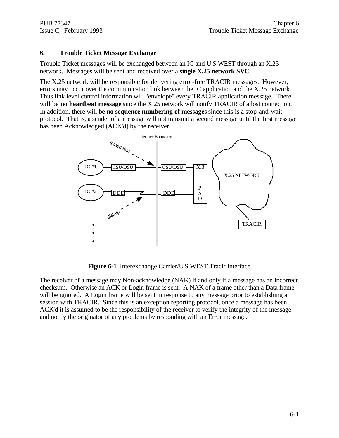#### **6. Trouble Ticket Message Exchange**

Trouble Ticket messages will be exchanged between an IC and U S WEST through an X.25 network. Messages will be sent and received over a **single X.25 network SVC**.

The X.25 network will be responsible for delivering error-free TRACIR messages. However, errors may occur over the communication link between the IC application and the X.25 network. Thus link level control information will "envelope" every TRACIR application message. There will be **no heartbeat message** since the X.25 network will notify TRACIR of a lost connection. In addition, there will be **no sequence numbering of messages** since this is a stop-and-wait protocol. That is, a sender of a message will not transmit a second message until the first message has been Acknowledged (ACK'd) by the receiver.



**Figure 6-1** Interexchange Carrier/U S WEST Tracir Interface

The receiver of a message may Non-acknowledge (NAK) if and only if a message has an incorrect checksum. Otherwise an ACK or Login frame is sent. A NAK of a frame other than a Data frame will be ignored. A Login frame will be sent in response to any message prior to establishing a session with TRACIR. Since this is an exception reporting protocol, once a message has been ACK'd it is assumed to be the responsibility of the receiver to verify the integrity of the message and notify the originator of any problems by responding with an Error message.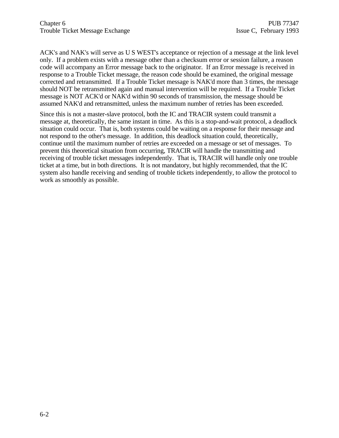ACK's and NAK's will serve as U S WEST's acceptance or rejection of a message at the link level only. If a problem exists with a message other than a checksum error or session failure, a reason code will accompany an Error message back to the originator. If an Error message is received in response to a Trouble Ticket message, the reason code should be examined, the original message corrected and retransmitted. If a Trouble Ticket message is NAK'd more than 3 times, the message should NOT be retransmitted again and manual intervention will be required. If a Trouble Ticket message is NOT ACK'd or NAK'd within 90 seconds of transmission, the message should be assumed NAK'd and retransmitted, unless the maximum number of retries has been exceeded.

Since this is not a master-slave protocol, both the IC and TRACIR system could transmit a message at, theoretically, the same instant in time. As this is a stop-and-wait protocol, a deadlock situation could occur. That is, both systems could be waiting on a response for their message and not respond to the other's message. In addition, this deadlock situation could, theoretically, continue until the maximum number of retries are exceeded on a message or set of messages. To prevent this theoretical situation from occurring, TRACIR will handle the transmitting and receiving of trouble ticket messages independently. That is, TRACIR will handle only one trouble ticket at a time, but in both directions. It is not mandatory, but highly recommended, that the IC system also handle receiving and sending of trouble tickets independently, to allow the protocol to work as smoothly as possible.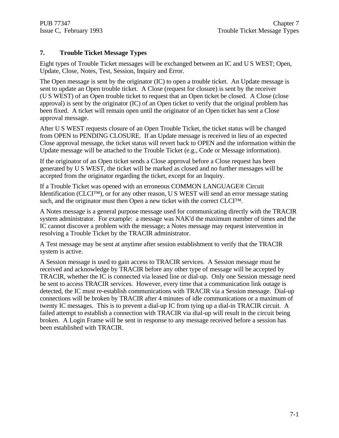#### **7. Trouble Ticket Message Types**

Eight types of Trouble Ticket messages will be exchanged between an IC and U S WEST; Open, Update, Close, Notes, Test, Session, Inquiry and Error.

The Open message is sent by the originator (IC) to open a trouble ticket. An Update message is sent to update an Open trouble ticket. A Close (request for closure) is sent by the receiver (U S WEST) of an Open trouble ticket to request that an Open ticket be closed. A Close (close approval) is sent by the originator (IC) of an Open ticket to verify that the original problem has been fixed. A ticket will remain open until the originator of an Open ticket has sent a Close approval message.

After U S WEST requests closure of an Open Trouble Ticket, the ticket status will be changed from OPEN to PENDING CLOSURE. If an Update message is received in lieu of an expected Close approval message, the ticket status will revert back to OPEN and the information within the Update message will be attached to the Trouble Ticket (e.g., Code or Message information).

If the originator of an Open ticket sends a Close approval before a Close request has been generated by U S WEST, the ticket will be marked as closed and no further messages will be accepted from the originator regarding the ticket, except for an Inquiry.

If a Trouble Ticket was opened with an erroneous COMMON LANGUAGE® Circuit Identification (CLCI™), or for any other reason, U S WEST will send an error message stating such, and the originator must then Open a new ticket with the correct CLCI<sup>TM</sup>.

A Notes message is a general purpose message used for communicating directly with the TRACIR system administrator. For example: a message was NAK'd the maximum number of times and the IC cannot discover a problem with the message; a Notes message may request intervention in resolving a Trouble Ticket by the TRACIR administrator.

A Test message may be sent at anytime after session establishment to verify that the TRACIR system is active.

A Session message is used to gain access to TRACIR services. A Session message must be received and acknowledge by TRACIR before any other type of message will be accepted by TRACIR, whether the IC is connected via leased line or dial-up. Only one Session message need be sent to access TRACIR services. However, every time that a communication link outage is detected, the IC must re-establish communications with TRACIR via a Session message. Dial-up connections will be broken by TRACIR after 4 minutes of idle communications or a maximum of twenty IC messages. This is to prevent a dial-up IC from tying up a dial-in TRACIR circuit. A failed attempt to establish a connection with TRACIR via dial-up will result in the circuit being broken. A Login Frame will be sent in response to any message received before a session has been established with TRACIR.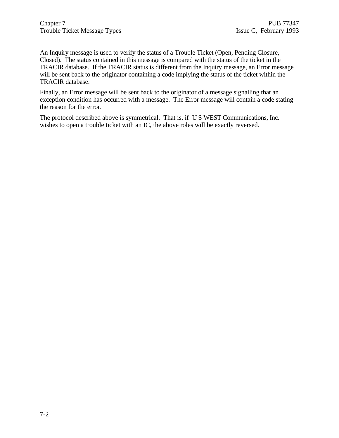An Inquiry message is used to verify the status of a Trouble Ticket (Open, Pending Closure, Closed). The status contained in this message is compared with the status of the ticket in the TRACIR database. If the TRACIR status is different from the Inquiry message, an Error message will be sent back to the originator containing a code implying the status of the ticket within the TRACIR database.

Finally, an Error message will be sent back to the originator of a message signalling that an exception condition has occurred with a message. The Error message will contain a code stating the reason for the error.

The protocol described above is symmetrical. That is, if U S WEST Communications, Inc. wishes to open a trouble ticket with an IC, the above roles will be exactly reversed.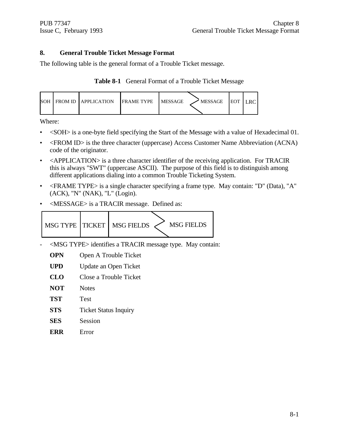#### **8. General Trouble Ticket Message Format**

The following table is the general format of a Trouble Ticket message.

|  | Table 8-1 General Format of a Trouble Ticket Message |  |  |
|--|------------------------------------------------------|--|--|
|--|------------------------------------------------------|--|--|

|  |  | SOH FROM ID LAPPLICATION | <b>IFRAME TYPE</b> | <b>IMESSAGE</b> | ' MESSAGE | <b>IEOT</b> | .RC |
|--|--|--------------------------|--------------------|-----------------|-----------|-------------|-----|
|--|--|--------------------------|--------------------|-----------------|-----------|-------------|-----|

Where:

- <SOH> is a one-byte field specifying the Start of the Message with a value of Hexadecimal 01.
- <FROM ID> is the three character (uppercase) Access Customer Name Abbreviation (ACNA) code of the originator.
- <APPLICATION> is a three character identifier of the receiving application. For TRACIR this is always "SWT" (uppercase ASCII). The purpose of this field is to distinguish among different applications dialing into a common Trouble Ticketing System.
- <FRAME TYPE> is a single character specifying a frame type. May contain: "D" (Data), "A" (ACK), "N" (NAK), "L" (Login).
- <MESSAGE> is a TRACIR message. Defined as:



- <MSG TYPE> identifies a TRACIR message type. May contain:
	- **OPN** Open A Trouble Ticket
	- **UPD** Update an Open Ticket
	- **CLO** Close a Trouble Ticket
	- **NOT** Notes
	- **TST** Test
	- **STS** Ticket Status Inquiry
	- **SES** Session
	- **ERR** Error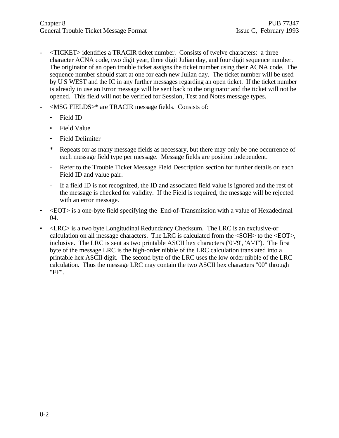- <TICKET> identifies a TRACIR ticket number. Consists of twelve characters: a three character ACNA code, two digit year, three digit Julian day, and four digit sequence number. The originator of an open trouble ticket assigns the ticket number using their ACNA code. The sequence number should start at one for each new Julian day. The ticket number will be used by U S WEST and the IC in any further messages regarding an open ticket. If the ticket number is already in use an Error message will be sent back to the originator and the ticket will not be opened. This field will not be verified for Session, Test and Notes message types.
- <MSG FIELDS>\* are TRACIR message fields. Consists of:
	- Field ID
	- Field Value
	- Field Delimiter
	- \* Repeats for as many message fields as necessary, but there may only be one occurrence of each message field type per message. Message fields are position independent.
	- Refer to the Trouble Ticket Message Field Description section for further details on each Field ID and value pair.
	- If a field ID is not recognized, the ID and associated field value is ignored and the rest of the message is checked for validity. If the Field is required, the message will be rejected with an error message.
- <EOT> is a one-byte field specifying the End-of-Transmission with a value of Hexadecimal 04.
- <LRC> is a two byte Longitudinal Redundancy Checksum. The LRC is an exclusive-or calculation on all message characters. The LRC is calculated from the <SOH> to the <EOT>, inclusive. The LRC is sent as two printable ASCII hex characters ('0'-'9', 'A'-'F'). The first byte of the message LRC is the high-order nibble of the LRC calculation translated into a printable hex ASCII digit. The second byte of the LRC uses the low order nibble of the LRC calculation. Thus the message LRC may contain the two ASCII hex characters "00" through "FF".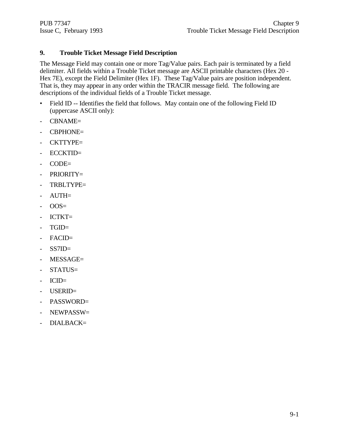#### **9. Trouble Ticket Message Field Description**

The Message Field may contain one or more Tag/Value pairs. Each pair is terminated by a field delimiter. All fields within a Trouble Ticket message are ASCII printable characters (Hex 20 - Hex 7E), except the Field Delimiter (Hex 1F). These Tag/Value pairs are position independent. That is, they may appear in any order within the TRACIR message field. The following are descriptions of the individual fields of a Trouble Ticket message.

- Field ID -- Identifies the field that follows. May contain one of the following Field ID (uppercase ASCII only):
- CBNAME=
- CBPHONE=
- CKTTYPE=
- ECCKTID=
- CODE=
- PRIORITY=
- TRBLTYPE=
- AUTH=
- $-$  OOS=
- ICTKT=
- TGID=
- FACID=
- SS7ID=
- MESSAGE=
- STATUS=
- ICID=
- USERID=
- PASSWORD=
- NEWPASSW=
- DIALBACK=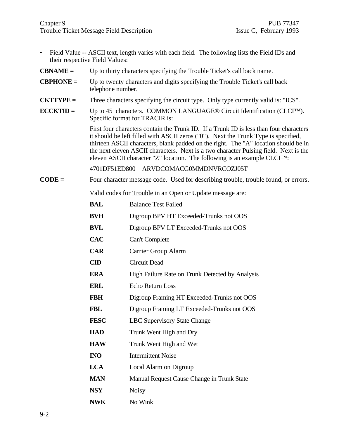- Field Value -- ASCII text, length varies with each field. The following lists the Field IDs and their respective Field Values:
- **CBNAME =** Up to thirty characters specifying the Trouble Ticket's call back name.
- **CBPHONE =** Up to twenty characters and digits specifying the Trouble Ticket's call back telephone number.
- **CKTTYPE =** Three characters specifying the circuit type. Only type currently valid is: "ICS".
- **ECCKTID =** Up to 45 characters. COMMON LANGUAGE® Circuit Identification (CLCI™). Specific format for TRACIR is:

First four characters contain the Trunk ID. If a Trunk ID is less than four characters it should be left filled with ASCII zeros ("0"). Next the Trunk Type is specified, thirteen ASCII characters, blank padded on the right. The "A" location should be in the next eleven ASCII characters. Next is a two character Pulsing field. Next is the eleven ASCII character "Z" location. The following is an example CLCI™:

4701DF51ED800 ARVDCOMACG0MMDNVRCOZJ05T

**CODE =** Four character message code. Used for describing trouble, trouble found, or errors.

Valid codes for Trouble in an Open or Update message are:

| <b>BAL</b>    | <b>Balance Test Failed</b>                      |
|---------------|-------------------------------------------------|
| <b>BVH</b>    | Digroup BPV HT Exceeded-Trunks not OOS          |
| <b>BVL</b>    | Digroup BPV LT Exceeded-Trunks not OOS          |
| <b>CAC</b>    | Can't Complete                                  |
| <b>CAR</b>    | Carrier Group Alarm                             |
| $\mathbf{CD}$ | <b>Circuit Dead</b>                             |
| <b>ERA</b>    | High Failure Rate on Trunk Detected by Analysis |
| <b>ERL</b>    | <b>Echo Return Loss</b>                         |
| <b>FBH</b>    | Digroup Framing HT Exceeded-Trunks not OOS      |
| <b>FBL</b>    | Digroup Framing LT Exceeded-Trunks not OOS      |
| <b>FESC</b>   | <b>LBC Supervisory State Change</b>             |
| <b>HAD</b>    | Trunk Went High and Dry                         |
| <b>HAW</b>    | Trunk Went High and Wet                         |
| <b>INO</b>    | <b>Intermittent Noise</b>                       |
| <b>LCA</b>    | Local Alarm on Digroup                          |
| <b>MAN</b>    | Manual Request Cause Change in Trunk State      |
| <b>NSY</b>    | <b>Noisy</b>                                    |
| <b>NWK</b>    | No Wink                                         |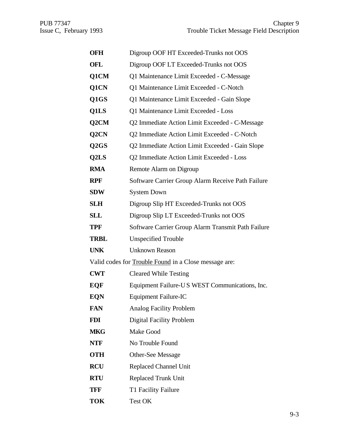| OFH         | Digroup OOF HT Exceeded-Trunks not OOS                |
|-------------|-------------------------------------------------------|
| OFL         | Digroup OOF LT Exceeded-Trunks not OOS                |
| Q1CM        | Q1 Maintenance Limit Exceeded - C-Message             |
| Q1CN        | Q1 Maintenance Limit Exceeded - C-Notch               |
| Q1GS        | Q1 Maintenance Limit Exceeded - Gain Slope            |
| Q1LS        | Q1 Maintenance Limit Exceeded - Loss                  |
| Q2CM        | Q2 Immediate Action Limit Exceeded - C-Message        |
| Q2CN        | Q2 Immediate Action Limit Exceeded - C-Notch          |
| Q2GS        | Q2 Immediate Action Limit Exceeded - Gain Slope       |
| Q2LS        | Q2 Immediate Action Limit Exceeded - Loss             |
| RMA         | Remote Alarm on Digroup                               |
| RPF         | Software Carrier Group Alarm Receive Path Failure     |
| SDW         | <b>System Down</b>                                    |
| SLH         | Digroup Slip HT Exceeded-Trunks not OOS               |
| SLL         | Digroup Slip LT Exceeded-Trunks not OOS               |
| TPF         | Software Carrier Group Alarm Transmit Path Failure    |
| <b>TRBL</b> | <b>Unspecified Trouble</b>                            |
| <b>UNK</b>  | <b>Unknown Reason</b>                                 |
|             | Valid codes for Trouble Found in a Close message are: |
| <b>CWT</b>  | <b>Cleared While Testing</b>                          |
| EQF         | Equipment Failure-US WEST Communications, Inc.        |
| EQN         | <b>Equipment Failure-IC</b>                           |
| FAN         | <b>Analog Facility Problem</b>                        |
| FDI         | <b>Digital Facility Problem</b>                       |
| MKG         | Make Good                                             |
| NTF         | No Trouble Found                                      |
| <b>OTH</b>  | <b>Other-See Message</b>                              |
| RCU         | <b>Replaced Channel Unit</b>                          |
| <b>RTU</b>  | <b>Replaced Trunk Unit</b>                            |
| TFF         | T1 Facility Failure                                   |
| TOK         | Test OK                                               |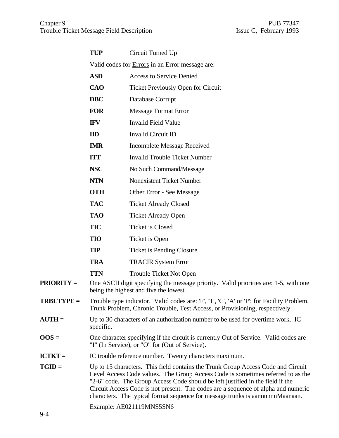|                   | <b>TUP</b>                                                                                                                                                               | Circuit Turned Up                                                                                                                                                                                                                                                                                                                                                                                                            |  |  |  |
|-------------------|--------------------------------------------------------------------------------------------------------------------------------------------------------------------------|------------------------------------------------------------------------------------------------------------------------------------------------------------------------------------------------------------------------------------------------------------------------------------------------------------------------------------------------------------------------------------------------------------------------------|--|--|--|
|                   |                                                                                                                                                                          | Valid codes for <b>Errors</b> in an Error message are:                                                                                                                                                                                                                                                                                                                                                                       |  |  |  |
|                   | <b>ASD</b>                                                                                                                                                               | <b>Access to Service Denied</b>                                                                                                                                                                                                                                                                                                                                                                                              |  |  |  |
|                   | <b>CAO</b>                                                                                                                                                               | Ticket Previously Open for Circuit                                                                                                                                                                                                                                                                                                                                                                                           |  |  |  |
|                   | <b>DBC</b>                                                                                                                                                               | Database Corrupt                                                                                                                                                                                                                                                                                                                                                                                                             |  |  |  |
|                   | <b>FOR</b>                                                                                                                                                               | <b>Message Format Error</b>                                                                                                                                                                                                                                                                                                                                                                                                  |  |  |  |
|                   | <b>IFV</b>                                                                                                                                                               | <b>Invalid Field Value</b>                                                                                                                                                                                                                                                                                                                                                                                                   |  |  |  |
|                   | ID                                                                                                                                                                       | Invalid Circuit ID                                                                                                                                                                                                                                                                                                                                                                                                           |  |  |  |
|                   | <b>IMR</b>                                                                                                                                                               | <b>Incomplete Message Received</b>                                                                                                                                                                                                                                                                                                                                                                                           |  |  |  |
|                   | <b>ITT</b>                                                                                                                                                               | <b>Invalid Trouble Ticket Number</b>                                                                                                                                                                                                                                                                                                                                                                                         |  |  |  |
|                   | <b>NSC</b>                                                                                                                                                               | No Such Command/Message                                                                                                                                                                                                                                                                                                                                                                                                      |  |  |  |
|                   | <b>NTN</b>                                                                                                                                                               | <b>Nonexistent Ticket Number</b>                                                                                                                                                                                                                                                                                                                                                                                             |  |  |  |
|                   | <b>OTH</b>                                                                                                                                                               | Other Error - See Message                                                                                                                                                                                                                                                                                                                                                                                                    |  |  |  |
|                   | <b>TAC</b>                                                                                                                                                               | <b>Ticket Already Closed</b>                                                                                                                                                                                                                                                                                                                                                                                                 |  |  |  |
|                   | <b>TAO</b>                                                                                                                                                               | <b>Ticket Already Open</b>                                                                                                                                                                                                                                                                                                                                                                                                   |  |  |  |
|                   | <b>TIC</b>                                                                                                                                                               | <b>Ticket is Closed</b>                                                                                                                                                                                                                                                                                                                                                                                                      |  |  |  |
|                   | <b>TIO</b>                                                                                                                                                               | Ticket is Open                                                                                                                                                                                                                                                                                                                                                                                                               |  |  |  |
|                   | <b>TIP</b>                                                                                                                                                               | <b>Ticket is Pending Closure</b>                                                                                                                                                                                                                                                                                                                                                                                             |  |  |  |
|                   | <b>TRA</b>                                                                                                                                                               | <b>TRACIR System Error</b>                                                                                                                                                                                                                                                                                                                                                                                                   |  |  |  |
|                   | <b>TTN</b>                                                                                                                                                               | <b>Trouble Ticket Not Open</b>                                                                                                                                                                                                                                                                                                                                                                                               |  |  |  |
| <b>PRIORITY =</b> |                                                                                                                                                                          | One ASCII digit specifying the message priority. Valid priorities are: 1-5, with one<br>being the highest and five the lowest.                                                                                                                                                                                                                                                                                               |  |  |  |
| <b>TRBLTYPE =</b> | Trouble type indicator. Valid codes are: 'F', 'T', 'C', 'A' or 'P'; for Facility Problem,<br>Trunk Problem, Chronic Trouble, Test Access, or Provisioning, respectively. |                                                                                                                                                                                                                                                                                                                                                                                                                              |  |  |  |
| $AUTH =$          | Up to 30 characters of an authorization number to be used for overtime work. IC<br>specific.                                                                             |                                                                                                                                                                                                                                                                                                                                                                                                                              |  |  |  |
| $0OS =$           | One character specifying if the circuit is currently Out of Service. Valid codes are<br>"I" (In Service), or "O" for (Out of Service).                                   |                                                                                                                                                                                                                                                                                                                                                                                                                              |  |  |  |
| <b>ICTKT =</b>    |                                                                                                                                                                          | IC trouble reference number. Twenty characters maximum.                                                                                                                                                                                                                                                                                                                                                                      |  |  |  |
| $TGID =$          |                                                                                                                                                                          | Up to 15 characters. This field contains the Trunk Group Access Code and Circuit<br>Level Access Code values. The Group Access Code is sometimes referred to as the<br>"2-6" code. The Group Access Code should be left justified in the field if the<br>Circuit Access Code is not present. The codes are a sequence of alpha and numeric<br>characters. The typical format sequence for message trunks is aannnnnmMaanaan. |  |  |  |
|                   | Example: AE021119MNS5SN6                                                                                                                                                 |                                                                                                                                                                                                                                                                                                                                                                                                                              |  |  |  |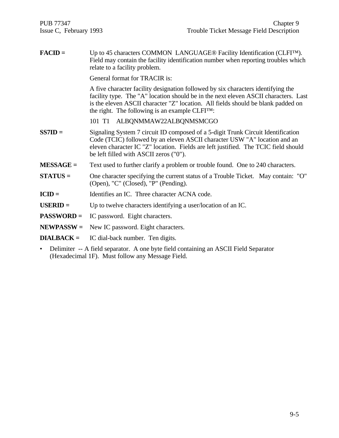| $\textbf{FACD} =$ | Up to 45 characters COMMON LANGUAGE® Facility Identification (CLFI <sup>TM</sup> ).<br>Field may contain the facility identification number when reporting troubles which<br>relate to a facility problem.                                                                                                          |
|-------------------|---------------------------------------------------------------------------------------------------------------------------------------------------------------------------------------------------------------------------------------------------------------------------------------------------------------------|
|                   | General format for TRACIR is:                                                                                                                                                                                                                                                                                       |
|                   | A five character facility designation followed by six characters identifying the<br>facility type. The "A" location should be in the next eleven ASCII characters. Last<br>is the eleven ASCII character "Z" location. All fields should be blank padded on<br>the right. The following is an example $CLFI^{TM}$ : |
|                   | 101 T1 ALBQNMMAW22ALBQNMSMCGO                                                                                                                                                                                                                                                                                       |
| $SS7ID =$         | Signaling System 7 circuit ID composed of a 5-digit Trunk Circuit Identification<br>Code (TCIC) followed by an eleven ASCII character USW "A" location and an<br>eleven character IC "Z" location. Fields are left justified. The TCIC field should<br>be left filled with ASCII zeros ("0").                       |
| $MESSAGE =$       | Text used to further clarify a problem or trouble found. One to 240 characters.                                                                                                                                                                                                                                     |
| $STATUS =$        | One character specifying the current status of a Trouble Ticket. May contain: "O"<br>(Open), "C" (Closed), "P" (Pending).                                                                                                                                                                                           |
| $ICID =$          | Identifies an IC. Three character ACNA code.                                                                                                                                                                                                                                                                        |
| $USERID =$        | Up to twelve characters identifying a user/location of an IC.                                                                                                                                                                                                                                                       |
| <b>PASSWORD =</b> | IC password. Eight characters.                                                                                                                                                                                                                                                                                      |
| $NEWPASSW =$      | New IC password. Eight characters.                                                                                                                                                                                                                                                                                  |
| $DIALBACK =$      | IC dial-back number. Ten digits.                                                                                                                                                                                                                                                                                    |
|                   | $\bullet$ Delimiter $\land$ field concreter $\land$ and byte field containing an $\land$ CCII Eight Concreter                                                                                                                                                                                                       |

• Delimiter -- A field separator. A one byte field containing an ASCII Field Separator (Hexadecimal 1F). Must follow any Message Field.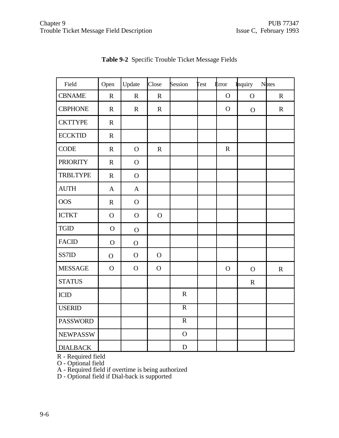| Field           | Open           | Update         | Close          | Session        | <b>Test</b> | <b>E</b> rror | <b>Inquiry</b> | Notes       |
|-----------------|----------------|----------------|----------------|----------------|-------------|---------------|----------------|-------------|
| <b>CBNAME</b>   | $\mathbf R$    | $\mathbf R$    | $\mathbf R$    |                |             | $\mathbf O$   | $\overline{O}$ | $\mathbf R$ |
| <b>CBPHONE</b>  | $\mathbf R$    | $\mathbf R$    | $\mathbf R$    |                |             | $\mathbf O$   | $\mathbf{O}$   | $\mathbf R$ |
| <b>CKTTYPE</b>  | $\mathbf R$    |                |                |                |             |               |                |             |
| <b>ECCKTID</b>  | $\mathbf R$    |                |                |                |             |               |                |             |
| <b>CODE</b>     | $\mathbf R$    | $\overline{O}$ | ${\bf R}$      |                |             | ${\bf R}$     |                |             |
| <b>PRIORITY</b> | $\mathbf R$    | $\mathbf O$    |                |                |             |               |                |             |
| <b>TRBLTYPE</b> | $\mathbf R$    | $\overline{O}$ |                |                |             |               |                |             |
| <b>AUTH</b>     | $\mathbf{A}$   | $\mathbf{A}$   |                |                |             |               |                |             |
| <b>OOS</b>      | $\mathbf R$    | $\mathbf O$    |                |                |             |               |                |             |
| <b>ICTKT</b>    | $\mathbf O$    | $\overline{O}$ | $\mathbf{O}$   |                |             |               |                |             |
| <b>TGID</b>     | $\mathbf O$    | $\overline{O}$ |                |                |             |               |                |             |
| <b>FACID</b>    | $\mathbf O$    | $\mathbf{O}$   |                |                |             |               |                |             |
| SS7ID           | $\overline{O}$ | $\mathbf O$    | $\mathbf O$    |                |             |               |                |             |
| <b>MESSAGE</b>  | $\mathbf O$    | $\mathbf O$    | $\overline{O}$ |                |             | $\mathbf O$   | $\mathbf{O}$   | $\mathbf R$ |
| <b>STATUS</b>   |                |                |                |                |             |               | $\mathbf R$    |             |
| ICID            |                |                |                | ${\bf R}$      |             |               |                |             |
| <b>USERID</b>   |                |                |                | $\overline{R}$ |             |               |                |             |
| <b>PASSWORD</b> |                |                |                | $\mathbf R$    |             |               |                |             |
| <b>NEWPASSW</b> |                |                |                | $\overline{O}$ |             |               |                |             |
| <b>DIALBACK</b> |                |                |                | $\mathbf D$    |             |               |                |             |

**Table 9-2** Specific Trouble Ticket Message Fields

R - Required field

O - Optional field

A - Required field if overtime is being authorized

D - Optional field if Dial-back is supported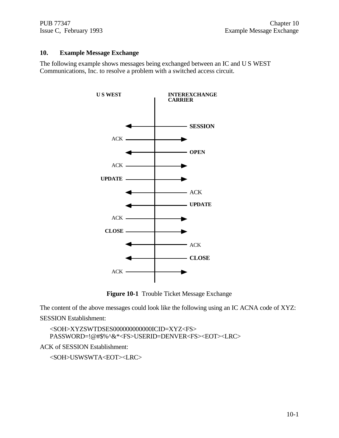#### **10. Example Message Exchange**

The following example shows messages being exchanged between an IC and U S WEST Communications, Inc. to resolve a problem with a switched access circuit.



**Figure 10-1** Trouble Ticket Message Exchange

The content of the above messages could look like the following using an IC ACNA code of XYZ:

SESSION Establishment:

<SOH>XYZSWTDSES000000000000ICID=XYZ<FS> PASSWORD=!@#\$%^&\*<FS>USERID=DENVER<FS><EOT><LRC>

ACK of SESSION Establishment:

<SOH>USWSWTA<EOT><LRC>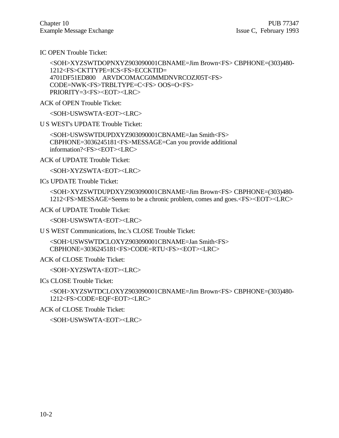IC OPEN Trouble Ticket:

```
<SOH>XYZSWTDOPNXYZ903090001CBNAME=Jim Brown<FS> CBPHONE=(303)480-
1212<FS>CKTTYPE=ICS<FS>ECCKTID=
4701DF51ED800 ARVDCOMACG0MMDNVRCOZJ05T<FS>
CODE=NWK<FS>TRBLTYPE=C<FS> OOS=O<FS>
PRIORITY=3<FS><EOT><LRC>
```
ACK of OPEN Trouble Ticket:

<SOH>USWSWTA<EOT><LRC>

U S WEST's UPDATE Trouble Ticket:

<SOH>USWSWTDUPDXYZ903090001CBNAME=Jan Smith<FS> CBPHONE=3036245181<FS>MESSAGE=Can you provide additional information?<FS><EOT><LRC>

ACK of UPDATE Trouble Ticket:

<SOH>XYZSWTA<EOT><LRC>

ICs UPDATE Trouble Ticket:

<SOH>XYZSWTDUPDXYZ903090001CBNAME=Jim Brown<FS> CBPHONE=(303)480- 1212<FS>MESSAGE=Seems to be a chronic problem, comes and goes.<FS><EOT><LRC>

ACK of UPDATE Trouble Ticket:

<SOH>USWSWTA<EOT><LRC>

U S WEST Communications, Inc.'s CLOSE Trouble Ticket:

<SOH>USWSWTDCLOXYZ903090001CBNAME=Jan Smith<FS> CBPHONE=3036245181<FS>CODE=RTU<FS><EOT><LRC>

ACK of CLOSE Trouble Ticket:

<SOH>XYZSWTA<EOT><LRC>

ICs CLOSE Trouble Ticket:

<SOH>XYZSWTDCLOXYZ903090001CBNAME=Jim Brown<FS> CBPHONE=(303)480- 1212<FS>CODE=EQF<EOT><LRC>

ACK of CLOSE Trouble Ticket:

<SOH>USWSWTA<EOT><LRC>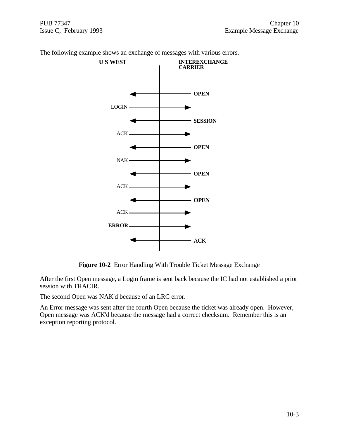

The following example shows an exchange of messages with various errors.

**Figure 10-2** Error Handling With Trouble Ticket Message Exchange

After the first Open message, a Login frame is sent back because the IC had not established a prior session with TRACIR.

The second Open was NAK'd because of an LRC error.

An Error message was sent after the fourth Open because the ticket was already open. However, Open message was ACK'd because the message had a correct checksum. Remember this is an exception reporting protocol.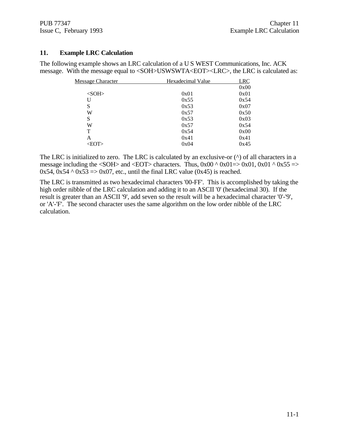#### **11. Example LRC Calculation**

The following example shows an LRC calculation of a U S WEST Communications, Inc. ACK message. With the message equal to <SOH>USWSWTA<EOT><LRC>, the LRC is calculated as:

| Message Character | Hexadecimal Value | <b>LRC</b> |
|-------------------|-------------------|------------|
|                   |                   | 0x00       |
| $<$ SOH $>$       | 0x01              | 0x01       |
| U                 | 0x55              | 0x54       |
| S                 | 0x53              | 0x07       |
| W                 | 0x57              | 0x50       |
| S                 | 0x53              | 0x03       |
| W                 | 0x57              | 0x54       |
| T                 | 0x54              | 0x00       |
| A                 | 0x41              | 0x41       |
| $<$ EOT $>$       | 0x04              | 0x45       |
|                   |                   |            |

The LRC is initialized to zero. The LRC is calculated by an exclusive-or  $(^\wedge)$  of all characters in a message including the  $\langle \text{SOH} \rangle$  and  $\langle \text{EOT} \rangle$  characters. Thus, 0x00 ^ 0x01=> 0x01, 0x01 ^ 0x55 =>  $0x54$ ,  $0x54 \land 0x53 \Rightarrow 0x07$ , etc., until the final LRC value  $(0x45)$  is reached.

The LRC is transmitted as two hexadecimal characters '00-FF'. This is accomplished by taking the high order nibble of the LRC calculation and adding it to an ASCII '0' (hexadecimal 30). If the result is greater than an ASCII '9', add seven so the result will be a hexadecimal character '0'-'9', or 'A'-'F'. The second character uses the same algorithm on the low order nibble of the LRC calculation.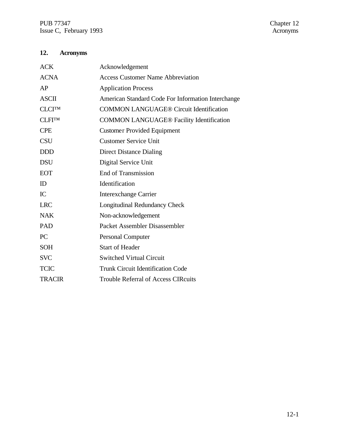## **12. Acronyms**

| <b>ACK</b>    | Acknowledgement                                    |
|---------------|----------------------------------------------------|
| <b>ACNA</b>   | <b>Access Customer Name Abbreviation</b>           |
| AP            | <b>Application Process</b>                         |
| <b>ASCII</b>  | American Standard Code For Information Interchange |
| <b>CLCITM</b> | <b>COMMON LANGUAGE® Circuit Identification</b>     |
| <b>CLFITM</b> | <b>COMMON LANGUAGE® Facility Identification</b>    |
| <b>CPE</b>    | <b>Customer Provided Equipment</b>                 |
| <b>CSU</b>    | <b>Customer Service Unit</b>                       |
| <b>DDD</b>    | <b>Direct Distance Dialing</b>                     |
| <b>DSU</b>    | Digital Service Unit                               |
| <b>EOT</b>    | <b>End of Transmission</b>                         |
| ID            | Identification                                     |
| IC            | <b>Interexchange Carrier</b>                       |
| <b>LRC</b>    | Longitudinal Redundancy Check                      |
| <b>NAK</b>    | Non-acknowledgement                                |
| PAD           | Packet Assembler Disassembler                      |
| PC            | Personal Computer                                  |
| <b>SOH</b>    | <b>Start of Header</b>                             |
| <b>SVC</b>    | <b>Switched Virtual Circuit</b>                    |
| <b>TCIC</b>   | <b>Trunk Circuit Identification Code</b>           |
| <b>TRACIR</b> | <b>Trouble Referral of Access CIRcuits</b>         |
|               |                                                    |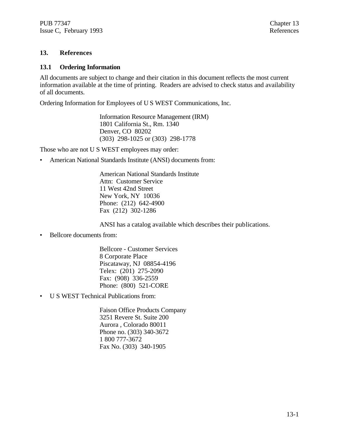#### **13. References**

#### **13.1 Ordering Information**

All documents are subject to change and their citation in this document reflects the most current information available at the time of printing. Readers are advised to check status and availability of all documents.

Ordering Information for Employees of U S WEST Communications, Inc.

Information Resource Management (IRM) 1801 California St., Rm. 1340 Denver, CO 80202 (303) 298-1025 or (303) 298-1778

Those who are not U S WEST employees may order:

• American National Standards Institute (ANSI) documents from:

American National Standards Institute Attn: Customer Service 11 West 42nd Street New York, NY 10036 Phone: (212) 642-4900 Fax (212) 302-1286

ANSI has a catalog available which describes their publications.

• Bellcore documents from:

Bellcore - Customer Services 8 Corporate Place Piscataway, NJ 08854-4196 Telex: (201) 275-2090 Fax: (908) 336-2559 Phone: (800) 521-CORE

• U S WEST Technical Publications from:

Faison Office Products Company 3251 Revere St. Suite 200 Aurora , Colorado 80011 Phone no. (303) 340-3672 1 800 777-3672 Fax No. (303) 340-1905